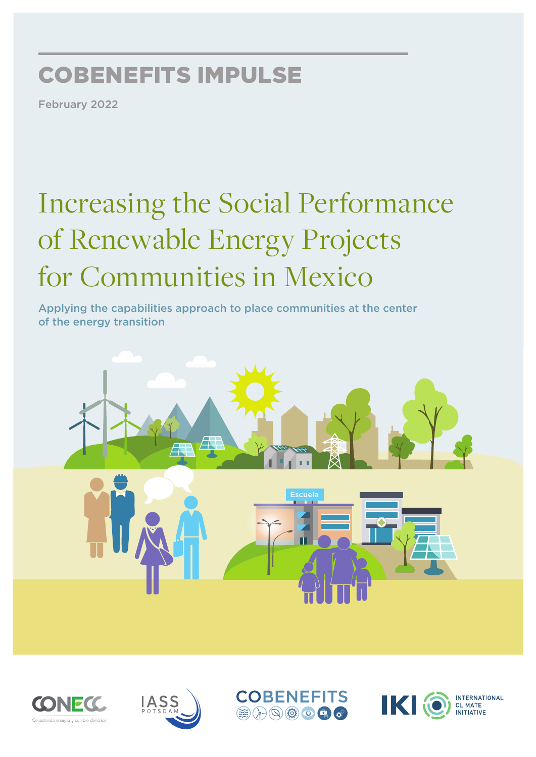# COBENEFITS IMPULSE

February 2022

# Increasing the Social Performance of Renewable Energy Projects for Communities in Mexico

Applying the capabilities approach to place communities at the center of the energy transition









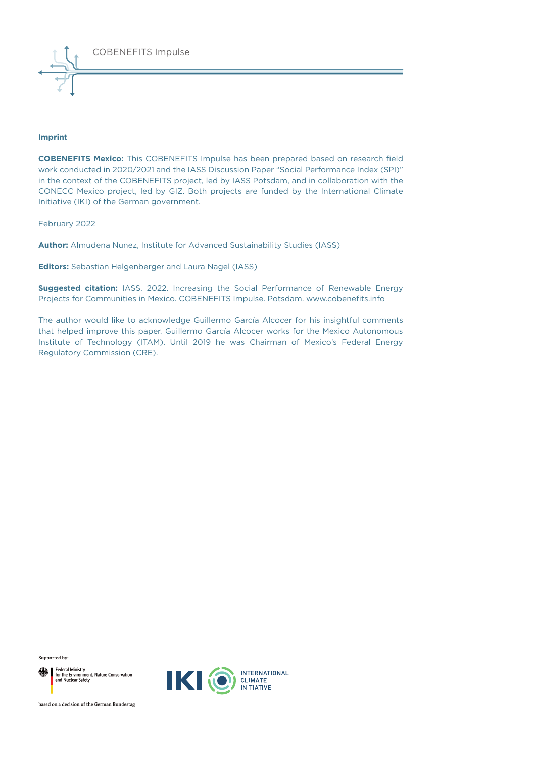#### **Imprint**

**COBENEFITS Mexico:** This COBENEFITS Impulse has been prepared based on research field work conducted in 2020/2021 and the IASS Discussion Paper "Social Performance Index (SPI)" in the context of the COBENEFITS project, led by IASS Potsdam, and in collaboration with the CONECC Mexico project, led by GIZ. Both projects are funded by the International Climate Initiative (IKI) of the German government.

February 2022

**Author:** Almudena Nunez, Institute for Advanced Sustainability Studies (IASS)

**Editors:** Sebastian Helgenberger and Laura Nagel (IASS)

**Suggested citation:** IASS. 2022. Increasing the Social Performance of Renewable Energy Projects for Communities in Mexico. COBENEFITS Impulse. Potsdam. www.cobenefits.info

The author would like to acknowledge Guillermo García Alcocer for his insightful comments that helped improve this paper. Guillermo García Alcocer works for the Mexico Autonomous Institute of Technology (ITAM). Until 2019 he was Chairman of Mexico's Federal Energy Regulatory Commission (CRE).

Supported by:

Federal Ministry<br>for the Environment, Nature Conservation<br>and Nuclear Safety



based on a decision of the German Bundestag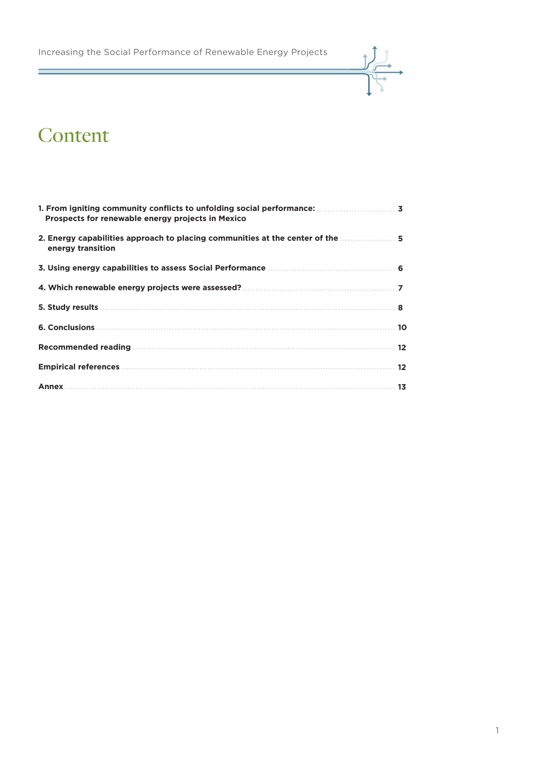Increasing the Social Performance of Renewable Energy Projects



### Content

Ξ

| Prospects for renewable energy projects in Mexico                                                   |
|-----------------------------------------------------------------------------------------------------|
| 2. Energy capabilities approach to placing communities at the center of the  5<br>energy transition |
|                                                                                                     |
|                                                                                                     |
|                                                                                                     |
|                                                                                                     |
|                                                                                                     |
|                                                                                                     |
|                                                                                                     |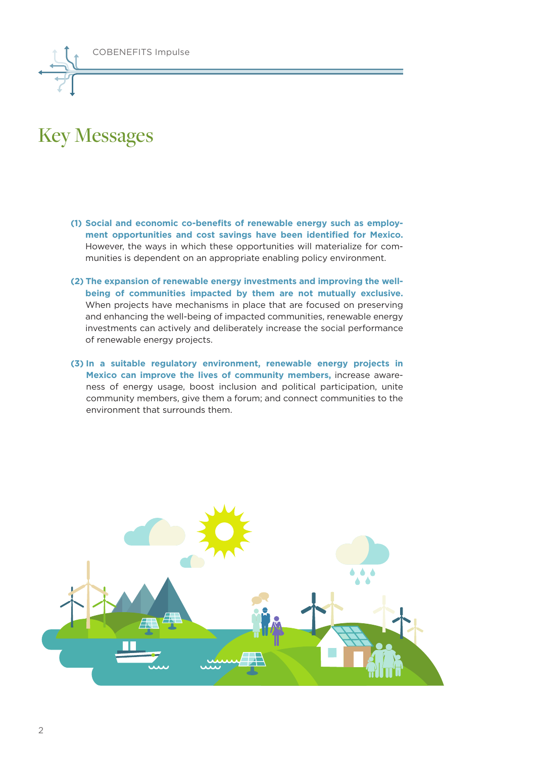

### Key Messages

- **(1) Social and economic co-benefits of renewable energy such as employment opportunities and cost savings have been identified for Mexico.** However, the ways in which these opportunities will materialize for communities is dependent on an appropriate enabling policy environment.
- **(2) The expansion of renewable energy investments and improving the wellbeing of communities impacted by them are not mutually exclusive.** When projects have mechanisms in place that are focused on preserving and enhancing the well-being of impacted communities, renewable energy investments can actively and deliberately increase the social performance of renewable energy projects.
- **(3) In a suitable regulatory environment, renewable energy projects in Mexico can improve the lives of community members,** increase awareness of energy usage, boost inclusion and political participation, unite community members, give them a forum; and connect communities to the environment that surrounds them.

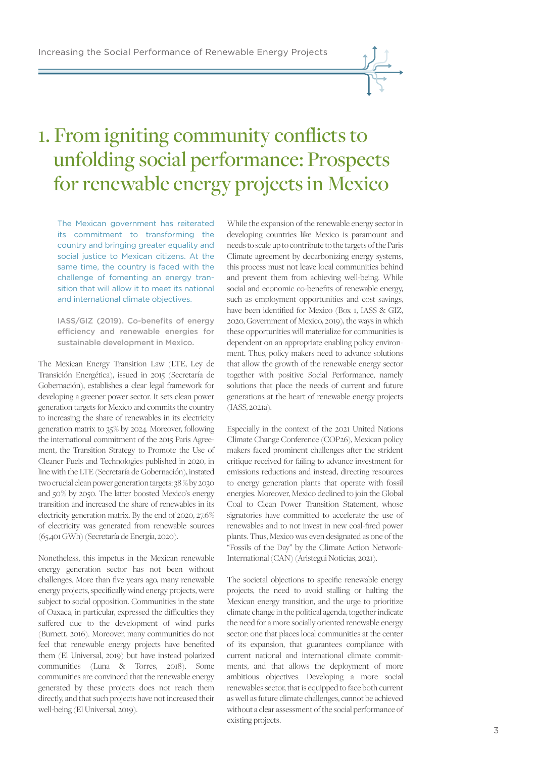## 1. From igniting community conflicts to unfolding social performance: Prospects for renewable energy projects in Mexico

The Mexican government has reiterated its commitment to transforming the country and bringing greater equality and social justice to Mexican citizens. At the same time, the country is faced with the challenge of fomenting an energy transition that will allow it to meet its national and international climate objectives.

IASS/GIZ (2019). Co-benefits of energy efficiency and renewable energies for sustainable development in Mexico.

The Mexican Energy Transition Law (LTE, Ley de Transición Energética), issued in 2015 (Secretaría de Gobernación), establishes a clear legal framework for developing a greener power sector. It sets clean power generation targets for Mexico and commits the country to increasing the share of renewables in its electricity generation matrix to 35 % by 2024. Moreover, following the international commitment of the 2015 Paris Agreement, the Transition Strategy to Promote the Use of Cleaner Fuels and Technologies published in 2020, in line with the LTE (Secretaría de Gobernación), instated two crucial clean power generation targets: 38  % by 2030 and 50 % by 2050. The latter boosted Mexico's energy transition and increased the share of renewables in its electricity generation matrix. By the end of 2020, 27.6 % of electricity was generated from renewable sources (65,401 GWh) (Secretaría de Energía, 2020).

Nonetheless, this impetus in the Mexican renewable energy generation sector has not been without challenges. More than five years ago, many renewable energy projects, specifically wind energy projects, were subject to social opposition. Communities in the state of Oaxaca, in particular, expressed the difficulties they suffered due to the development of wind parks (Burnett, 2016). Moreover, many communities do not feel that renewable energy projects have benefited them (El Universal, 2019) but have instead polarized communities (Luna & Torres, 2018). Some communities are convinced that the renewable energy generated by these projects does not reach them directly, and that such projects have not increased their well-being (El Universal, 2019).

While the expansion of the renewable energy sector in developing countries like Mexico is paramount and needs to scale up to contribute to the targets of the Paris Climate agreement by decarbonizing energy systems, this process must not leave local communities behind and prevent them from achieving well-being. While social and economic co-benefits of renewable energy, such as employment opportunities and cost savings, have been identified for Mexico (Box 1, IASS & GIZ, 2020, Government of Mexico, 2019), the ways in which these opportunities will materialize for communities is dependent on an appropriate enabling policy environment. Thus, policy makers need to advance solutions that allow the growth of the renewable energy sector together with positive Social Performance, namely solutions that place the needs of current and future generations at the heart of renewable energy projects (IASS, 2021a).

Especially in the context of the 2021 United Nations Climate Change Conference (COP26), Mexican policy makers faced prominent challenges after the strident critique received for failing to advance investment for emissions reductions and instead, directing resources to energy generation plants that operate with fossil energies. Moreover, Mexico declined to join the Global Coal to Clean Power Transition Statement, whose signatories have committed to accelerate the use of renewables and to not invest in new coal-fired power plants. Thus, Mexico was even designated as one of the "Fossils of the Day" by the Climate Action Network-International (CAN) (Aristegui Noticias, 2021).

The societal objections to specific renewable energy projects, the need to avoid stalling or halting the Mexican energy transition, and the urge to prioritize climate change in the political agenda, together indicate the need for a more socially oriented renewable energy sector: one that places local communities at the center of its expansion, that guarantees compliance with current national and international climate commitments, and that allows the deployment of more ambitious objectives. Developing a more social renewables sector, that is equipped to face both current as well as future climate challenges, cannot be achieved without a clear assessment of the social performance of existing projects.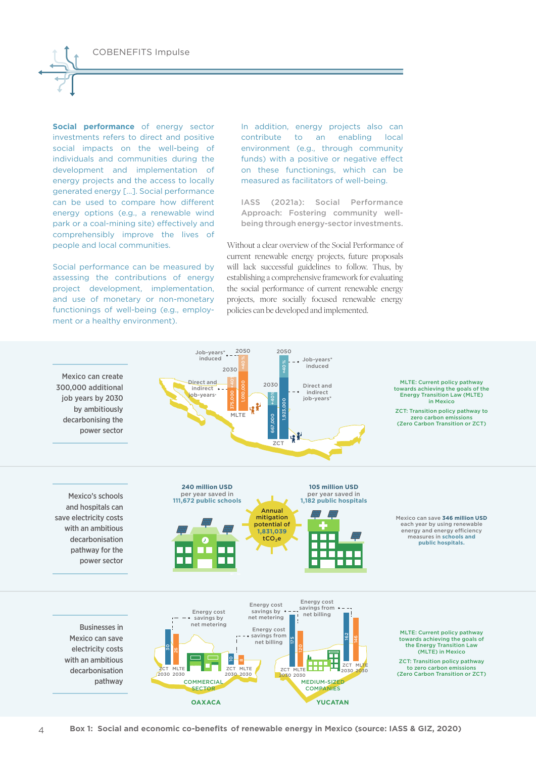**Social performance** of energy sector investments refers to direct and positive social impacts on the well-being of individuals and communities during the development and implementation of energy projects and the access to locally generated energy […]. Social performance can be used to compare how different energy options (e.g., a renewable wind park or a coal-mining site) effectively and comprehensibly improve the lives of people and local communities.

Social performance can be measured by assessing the contributions of energy project development, implementation, and use of monetary or non-monetary functionings of well-being (e.g., employment or a healthy environment).

 $\Delta$ 

In addition, energy projects also can contribute to an enabling local environment (e.g., through community funds) with a positive or negative effect on these functionings, which can be measured as facilitators of well-being.

IASS (2021a): Social Performance Approach: Fostering community wellbeing through energy-sector investments.

Without a clear overview of the Social Performance of current renewable energy projects, future proposals will lack successful guidelines to follow. Thus, by establishing a comprehensive framework for evaluating the social performance of current renewable energy projects, more socially focused renewable energy policies can be developed and implemented.

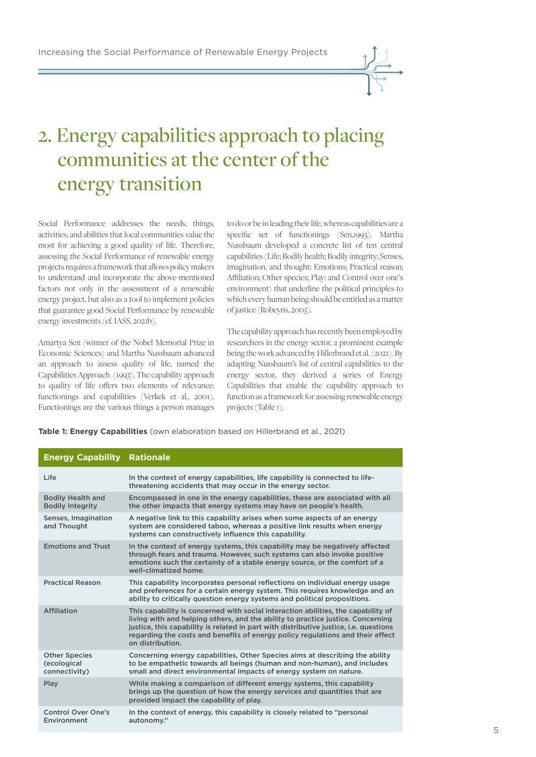# 2. Energy capabilities approach to placing communities at the center of the energy transition

Social Performance addresses the needs, things, activities, and abilities that local communities value the most for achieving a good quality of life. Therefore, assessing the Social Performance of renewable energy projects requires a framework that allows policy makers to understand and incorporate the above-mentioned factors not only in the assessment of a renewable energy project, but also as a tool to implement policies that guarantee good Social Performance by renewable energy investments (cf. IASS, 2021b).

Amartya Sen (winner of the Nobel Memorial Prize in Economic Sciences) and Martha Nussbaum advanced an approach to assess quality of life, named the Capabilities Approach (1993). The capability approach to quality of life offers two elements of relevance: functionings and capabilities (Verkek et al., 2001). Functionings are the various things a person manages to do or be in leading their life, whereas capabilities are a specific set of functionings (Sen,1993). Martha Nussbaum developed a concrete list of ten central capabilities (Life; Bodily health; Bodily integrity; Senses, imagination, and thought; Emotions; Practical reason; Affiliation; Other species; Play; and Control over one's environment) that underline the political principles to which every human being should be entitled as a matter of justice (Robeyns, 2005).

The capability approach has recently been employed by researchers in the energy sector, a prominent example being the work advanced by Hillerbrand et al. (2021). By adapting Nussbaum's list of central capabilities to the energy sector, they derived a series of Energy Capabilities that enable the capability approach to function as a framework for assessing renewable energy projects (Table 1).

**Table 1: Energy Capabilities** (own elaboration based on Hillerbrand et al., 2021)

| <b>Energy Capability Rationale</b>                   |                                                                                                                                                                                                                                                                                                                                                                     |
|------------------------------------------------------|---------------------------------------------------------------------------------------------------------------------------------------------------------------------------------------------------------------------------------------------------------------------------------------------------------------------------------------------------------------------|
| Life                                                 | In the context of energy capabilities, life capability is connected to life-<br>threatening accidents that may occur in the energy sector.                                                                                                                                                                                                                          |
| <b>Bodily Health and</b><br><b>Bodily Integrity</b>  | Encompassed in one in the energy capabilities, these are associated with all<br>the other impacts that energy systems may have on people's health.                                                                                                                                                                                                                  |
| Senses, Imagination<br>and Thought                   | A negative link to this capability arises when some aspects of an energy<br>system are considered taboo, whereas a positive link results when energy<br>systems can constructively influence this capability.                                                                                                                                                       |
| <b>Emotions and Trust</b>                            | In the context of energy systems, this capability may be negatively affected<br>through fears and trauma. However, such systems can also invoke positive<br>emotions such the certainty of a stable energy source, or the comfort of a<br>well-climatized home.                                                                                                     |
| <b>Practical Reason</b>                              | This capability incorporates personal reflections on individual energy usage<br>and preferences for a certain energy system. This requires knowledge and an<br>ability to critically question energy systems and political propositions.                                                                                                                            |
| Affiliation                                          | This capability is concerned with social interaction abilities, the capability of<br>living with and helping others, and the ability to practice justice. Concerning<br>justice, this capability is related in part with distributive justice, i.e. questions<br>regarding the costs and benefits of energy policy regulations and their effect<br>on distribution. |
| <b>Other Species</b><br>(ecological<br>connectivity) | Concerning energy capabilities, Other Species aims at describing the ability<br>to be empathetic towards all beings (human and non-human), and includes<br>small and direct environmental impacts of energy system on nature.                                                                                                                                       |
| Play                                                 | While making a comparison of different energy systems, this capability<br>brings up the question of how the energy services and quantities that are<br>provided impact the capability of play.                                                                                                                                                                      |
| <b>Control Over One's</b><br>Environment             | In the context of energy, this capability is closely related to "personal<br>autonomy."                                                                                                                                                                                                                                                                             |

5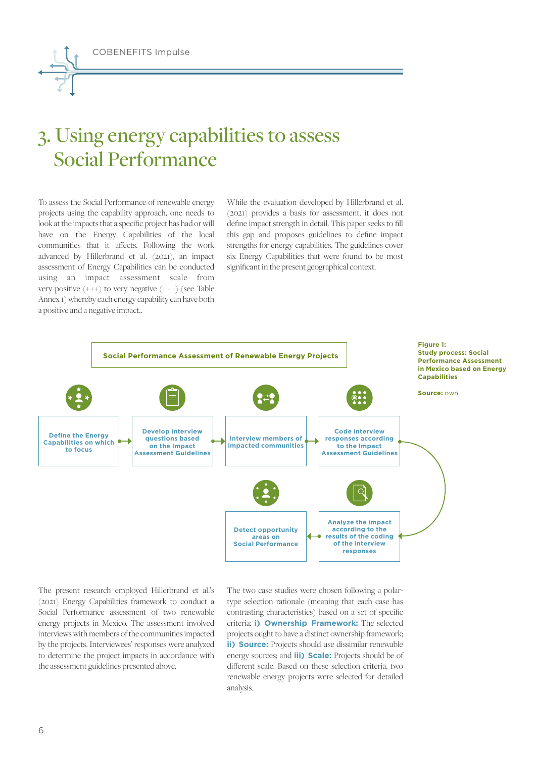COBENEFITS Impulse

# 3. Using energy capabilities to assess Social Performance

To assess the Social Performance of renewable energy projects using the capability approach, one needs to look at the impacts that a specific project has had or will have on the Energy Capabilities of the local communities that it affects. Following the work advanced by Hillerbrand et al. (2021), an impact assessment of Energy Capabilities can be conducted using an impact assessment scale from very positive (+ + +) to very negative (- - -) (see Table Annex 1) whereby each energy capability can have both a positive and a negative impact..

While the evaluation developed by Hillerbrand et al. (2021) provides a basis for assessment, it does not define impact strength in detail. This paper seeks to fill this gap and proposes guidelines to define impact strengths for energy capabilities. The guidelines cover six Energy Capabilities that were found to be most significant in the present geographical context.



The present research employed Hillerbrand et al.'s (2021) Energy Capabilities framework to conduct a Social Performance assessment of two renewable energy projects in Mexico. The assessment involved interviews with members of the communities impacted by the projects. Interviewees' responses were analyzed to determine the project impacts in accordance with the assessment guidelines presented above.

The two case studies were chosen following a polartype selection rationale (meaning that each case has contrasting characteristics) based on a set of specific criteria: **i) Ownership Framework:** The selected projects ought to have a distinct ownership framework; **ii) Source:** Projects should use dissimilar renewable energy sources; and **iii) Scale:** Projects should be of different scale. Based on these selection criteria, two renewable energy projects were selected for detailed analysis.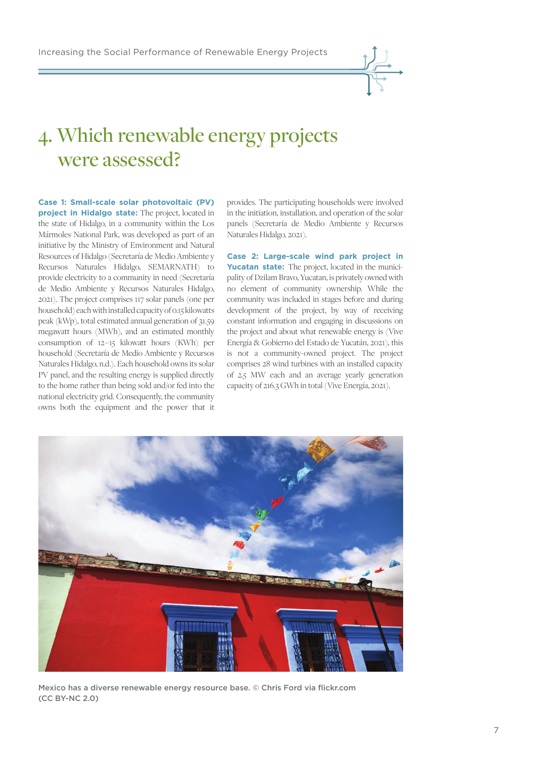

### 4. Which renewable energy projects were assessed?

**Case 1: Small-scale solar photovoltaic (PV) project in Hidalgo state:** The project, located in the state of Hidalgo, in a community within the Los Mármoles National Park, was developed as part of an initiative by the Ministry of Environment and Natural Resources of Hidalgo (Secretaría de Medio Ambiente y Recursos Naturales Hidalgo, SEMARNATH) to provide electricity to a community in need (Secretaría de Medio Ambiente y Recursos Naturales Hidalgo, 2021). The project comprises 117 solar panels (one per household) each with installed capacity of 0.15 kilowatts peak (kWp), total estimated annual generation of 31.59 megawatt hours (MWh), and an estimated monthly consumption of 12 – 15 kilowatt hours (KWh) per household (Secretaría de Medio Ambiente y Recursos Naturales Hidalgo, n.d.). Each household owns its solar PV panel, and the resulting energy is supplied directly to the home rather than being sold and/or fed into the national electricity grid. Consequently, the community owns both the equipment and the power that it

provides. The participating households were involved in the initiation, installation, and operation of the solar panels (Secretaría de Medio Ambiente y Recursos Naturales Hidalgo, 2021).

**Case 2: Large-scale wind park project in Yucatan state:** The project, located in the municipality of Dzilam Bravo, Yucatan, is privately owned with no element of community ownership. While the community was included in stages before and during development of the project, by way of receiving constant information and engaging in discussions on the project and about what renewable energy is (Vive Energía & Gobierno del Estado de Yucatán, 2021), this is not a community-owned project. The project comprises 28 wind turbines with an installed capacity of 2.5 MW each and an average yearly generation capacity of 216.3 GWh in total (Vive Energía, 2021).



Mexico has a diverse renewable energy resource base. © Chris Ford via flickr.com (CC BY-NC 2.0)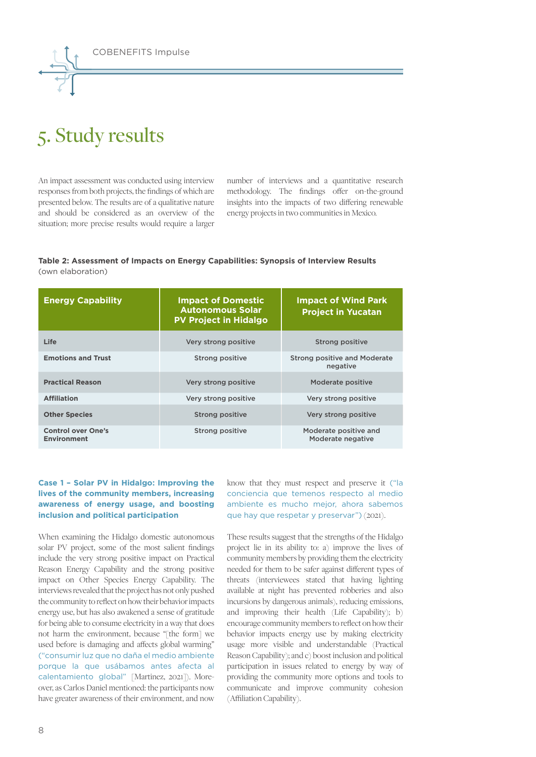# 5. Study results

An impact assessment was conducted using interview responses from both projects, the findings of which are presented below. The results are of a qualitative nature and should be considered as an overview of the situation; more precise results would require a larger

number of interviews and a quantitative research methodology. The findings offer on-the-ground insights into the impacts of two differing renewable energy projects in two communities in Mexico.

#### **Table 2: Assessment of Impacts on Energy Capabilities: Synopsis of Interview Results**  (own elaboration)

| <b>Energy Capability</b>                        | <b>Impact of Domestic</b><br><b>Autonomous Solar</b><br><b>PV Project in Hidalgo</b> | <b>Impact of Wind Park</b><br><b>Project in Yucatan</b> |  |  |
|-------------------------------------------------|--------------------------------------------------------------------------------------|---------------------------------------------------------|--|--|
| Life                                            | Very strong positive                                                                 | Strong positive                                         |  |  |
| <b>Emotions and Trust</b>                       | <b>Strong positive</b>                                                               | <b>Strong positive and Moderate</b><br>negative         |  |  |
| <b>Practical Reason</b>                         | Very strong positive                                                                 | Moderate positive                                       |  |  |
| <b>Affiliation</b>                              | Very strong positive                                                                 | Very strong positive                                    |  |  |
| <b>Other Species</b>                            | <b>Strong positive</b>                                                               | Very strong positive                                    |  |  |
| <b>Control over One's</b><br><b>Environment</b> | <b>Strong positive</b>                                                               | Moderate positive and<br>Moderate negative              |  |  |

#### **Case 1 – Solar PV in Hidalgo: Improving the lives of the community members, increasing awareness of energy usage, and boosting inclusion and political participation**

When examining the Hidalgo domestic autonomous solar PV project, some of the most salient findings include the very strong positive impact on Practical Reason Energy Capability and the strong positive impact on Other Species Energy Capability. The interviews revealed that the project has not only pushed the community to reflect on how their behavior impacts energy use, but has also awakened a sense of gratitude for being able to consume electricity in a way that does not harm the environment, because "[the form] we used before is damaging and affects global warming" ("consumir luz que no daña el medio ambiente porque la que usábamos antes afecta al calentamiento global" [Martinez, 2021]). Moreover, as Carlos Daniel mentioned: the participants now have greater awareness of their environment, and now

know that they must respect and preserve it ("la conciencia que temenos respecto al medio ambiente es mucho mejor, ahora sabemos que hay que respetar y preservar") (2021).

These results suggest that the strengths of the Hidalgo project lie in its ability to: a) improve the lives of community members by providing them the electricity needed for them to be safer against different types of threats (interviewees stated that having lighting available at night has prevented robberies and also incursions by dangerous animals), reducing emissions, and improving their health (Life Capability); b) encourage community members to reflect on how their behavior impacts energy use by making electricity usage more visible and understandable (Practical Reason Capability); and c) boost inclusion and political participation in issues related to energy by way of providing the community more options and tools to communicate and improve community cohesion (Affiliation Capability).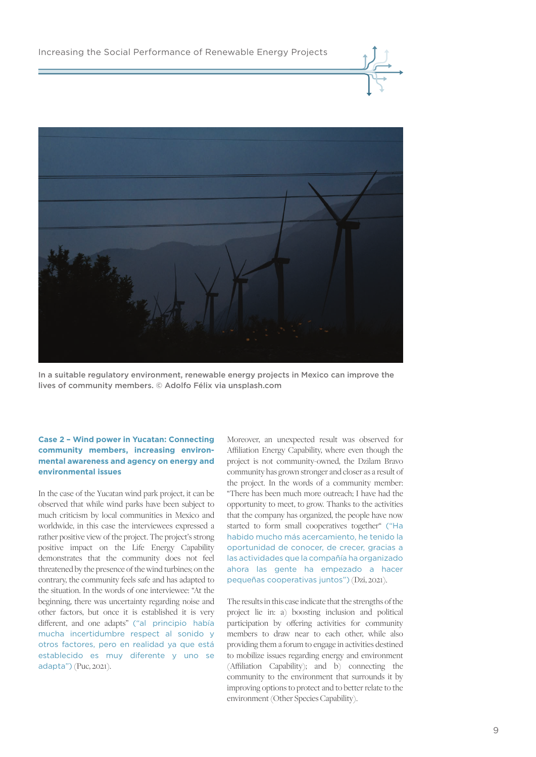

In a suitable regulatory environment, renewable energy projects in Mexico can improve the lives of community members. © Adolfo Félix via unsplash.com

#### **Case 2 – Wind power in Yucatan: Connecting community members, increasing environmental awareness and agency on energy and environmental issues**

In the case of the Yucatan wind park project, it can be observed that while wind parks have been subject to much criticism by local communities in Mexico and worldwide, in this case the interviewees expressed a rather positive view of the project. The project's strong positive impact on the Life Energy Capability demonstrates that the community does not feel threatened by the presence of the wind turbines; on the contrary, the community feels safe and has adapted to the situation. In the words of one interviewee: "At the beginning, there was uncertainty regarding noise and other factors, but once it is established it is very different, and one adapts" ("al principio había mucha incertidumbre respect al sonido y otros factores, pero en realidad ya que está establecido es muy diferente y uno se adapta") (Puc, 2021).

Moreover, an unexpected result was observed for Affiliation Energy Capability, where even though the project is not community-owned, the Dzilam Bravo community has grown stronger and closer as a result of the project. In the words of a community member: "There has been much more outreach; I have had the opportunity to meet, to grow. Thanks to the activities that the company has organized, the people have now started to form small cooperatives together" ("Ha habido mucho más acercamiento, he tenido la oportunidad de conocer, de crecer, gracias a las actividades que la compañía ha organizado ahora las gente ha empezado a hacer pequeñas cooperativas juntos") (Dzi, 2021).

The results in this case indicate that the strengths of the project lie in: a) boosting inclusion and political participation by offering activities for community members to draw near to each other, while also providing them a forum to engage in activities destined to mobilize issues regarding energy and environment (Affiliation Capability); and b) connecting the community to the environment that surrounds it by improving options to protect and to better relate to the environment (Other Species Capability).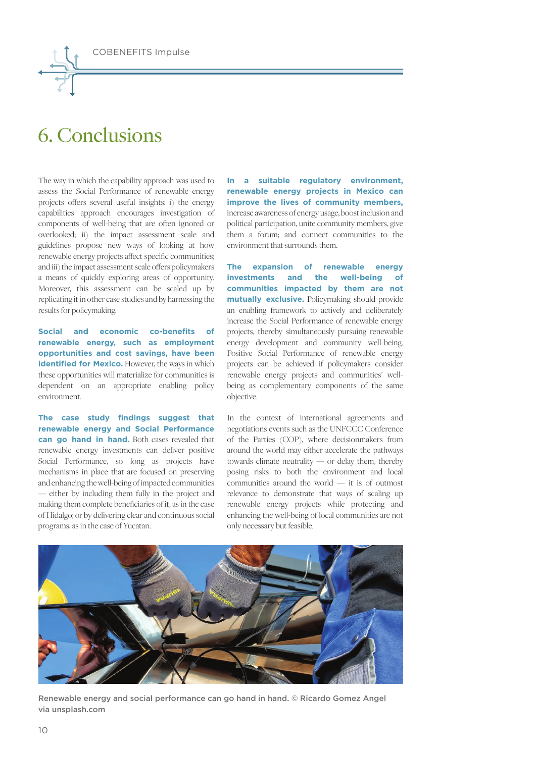

### 6. Conclusions

The way in which the capability approach was used to assess the Social Performance of renewable energy projects offers several useful insights: i) the energy capabilities approach encourages investigation of components of well-being that are often ignored or overlooked; ii) the impact assessment scale and guidelines propose new ways of looking at how renewable energy projects affect specific communities; and iii) the impact assessment scale offers policymakers a means of quickly exploring areas of opportunity. Moreover, this assessment can be scaled up by replicating it in other case studies and by harnessing the results for policymaking.

**Social and economic co-benefits of renewable energy, such as employment opportunities and cost savings, have been identified for Mexico.** However, the ways in which these opportunities will materialize for communities is dependent on an appropriate enabling policy environment.

**The case study findings suggest that renewable energy and Social Performance can go hand in hand.** Both cases revealed that renewable energy investments can deliver positive Social Performance, so long as projects have mechanisms in place that are focused on preserving and enhancing the well-being of impacted communities — either by including them fully in the project and making them complete beneficiaries of it, as in the case of Hidalgo; or by delivering clear and continuous social programs, as in the case of Yucatan.

**In a suitable regulatory environment, renewable energy projects in Mexico can improve the lives of community members,**  increase awareness of energy usage, boost inclusion and political participation, unite community members, give them a forum; and connect communities to the environment that surrounds them.

**The expansion of renewable energy investments and the well-being of communities impacted by them are not mutually exclusive.** Policymaking should provide an enabling framework to actively and deliberately increase the Social Performance of renewable energy projects, thereby simultaneously pursuing renewable energy development and community well-being. Positive Social Performance of renewable energy projects can be achieved if policymakers consider renewable energy projects and communities' wellbeing as complementary components of the same objective.

In the context of international agreements and negotiations events such as the UNFCCC Conference of the Parties (COP), where decisionmakers from around the world may either accelerate the pathways towards climate neutrality — or delay them, thereby posing risks to both the environment and local communities around the world — it is of outmost relevance to demonstrate that ways of scaling up renewable energy projects while protecting and enhancing the well-being of local communities are not only necessary but feasible.



Renewable energy and social performance can go hand in hand. © Ricardo Gomez Angel via unsplash.com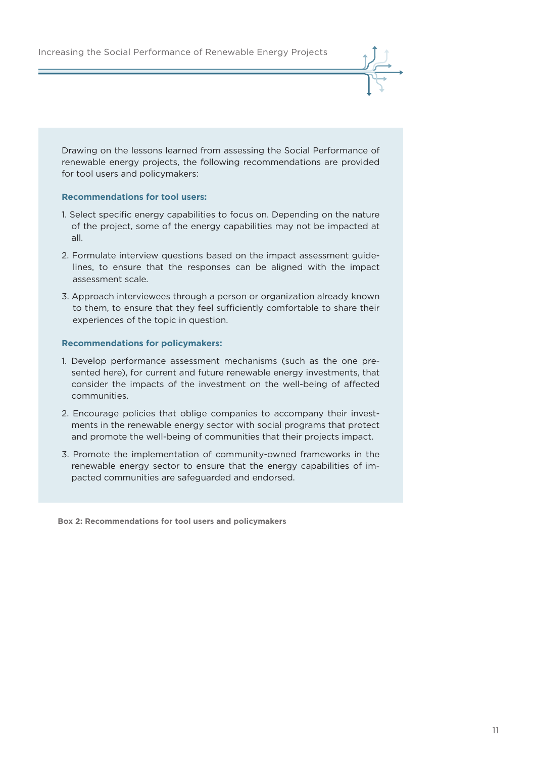Drawing on the lessons learned from assessing the Social Performance of renewable energy projects, the following recommendations are provided for tool users and policymakers:

#### **Recommendations for tool users:**

- 1. Select specific energy capabilities to focus on. Depending on the nature of the project, some of the energy capabilities may not be impacted at all.
- 2. Formulate interview questions based on the impact assessment guidelines, to ensure that the responses can be aligned with the impact assessment scale.
- 3. Approach interviewees through a person or organization already known to them, to ensure that they feel sufficiently comfortable to share their experiences of the topic in question.

#### **Recommendations for policymakers:**

- 1. Develop performance assessment mechanisms (such as the one presented here), for current and future renewable energy investments, that consider the impacts of the investment on the well-being of affected communities.
- 2. Encourage policies that oblige companies to accompany their investments in the renewable energy sector with social programs that protect and promote the well-being of communities that their projects impact.
- 3. Promote the implementation of community-owned frameworks in the renewable energy sector to ensure that the energy capabilities of impacted communities are safeguarded and endorsed.

**Box 2: Recommendations for tool users and policymakers**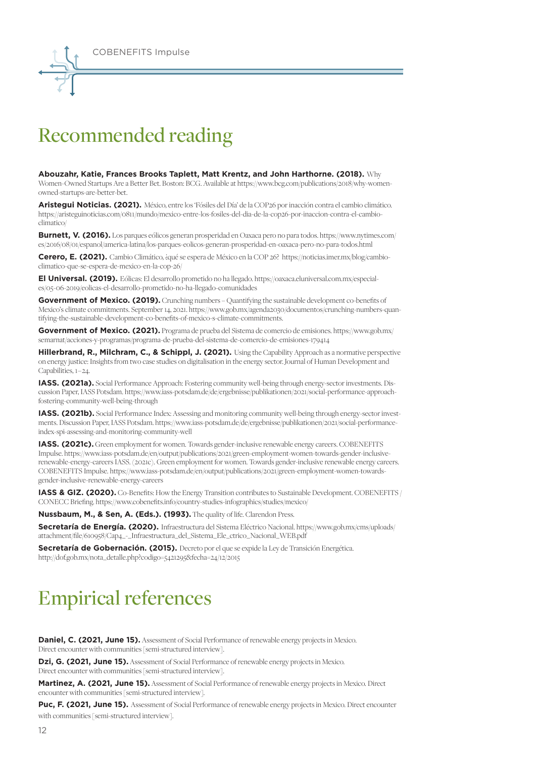

### Recommended reading

**Abouzahr, Katie, Frances Brooks Taplett, Matt Krentz, and John Harthorne. (2018).** Why Women-Owned Startups Are a Better Bet. Boston: BCG. Available at https://www.bcg.com/publications/2018/why-womenowned-startups-are-better-bet.

**Aristegui Noticias. (2021).** México, entre los 'Fósiles del Día' de la COP26 por inacción contra el cambio climático. https://aristeguinoticias.com/0811/mundo/mexico-entre-los-fosiles-del-dia-de-la-cop26-por-inaccion-contra-el-cambioclimatico/

**Burnett, V. (2016).** Los parques eólicos generan prosperidad en Oaxaca pero no para todos. https://www.nytimes.com/ es/2016/08/01/espanol/america-latina/los-parques-eolicos-generan-prosperidad-en-oaxaca-pero-no-para-todos.html

**Cerero, E. (2021).** Cambio Climático, ¿qué se espera de México en la COP 26? https://noticias.imer.mx/blog/cambioclimatico-que-se-espera-de-mexico-en-la-cop-26/

**El Universal. (2019).** Eólicas: El desarrollo prometido no ha llegado. https://oaxaca.eluniversal.com.mx/especiales/05-06-2019/eolicas-el-desarrollo-prometido-no-ha-llegado-comunidades

**Government of Mexico. (2019).** Crunching numbers – Quantifying the sustainable development co-benefits of Mexico's climate commitments. September 14, 2021. https://www.gob.mx/agenda2030/documentos/crunching-numbers-quantifying-the-sustainable-development-co-benefits-of-mexico-s-climate-commitments.

Government of Mexico. (2021). Programa de prueba del Sistema de comercio de emisiones. https://www.gob.mx/ semarnat/acciones-y-programas/programa-de-prueba-del-sistema-de-comercio-de-emisiones-179414

**Hillerbrand, R., Milchram, C., & Schippl, J. (2021).** Using the Capability Approach as a normative perspective on energy justice: Insights from two case studies on digitalisation in the energy sector. Journal of Human Development and Capabilities, 1–24.

**IASS. (2021a).** Social Performance Approach: Fostering community well-being through energy-sector investments. Discussion Paper, IASS Potsdam. https://www.iass-potsdam.de/de/ergebnisse/publikationen/2021/social-performance-approachfostering-community-well-being-through

**IASS. (2021b).** Social Performance Index: Assessing and monitoring community well-being through energy-sector investments. Discussion Paper, IASS Potsdam. https://www.iass-potsdam.de/de/ergebnisse/publikationen/2021/social-performanceindex-spi-assessing-and-monitoring-community-well

**IASS. (2021c).** Green employment for women. Towards gender-inclusive renewable energy careers. COBENEFITS Impulse. https://www.iass-potsdam.de/en/output/publications/2021/green-employment-women-towards-gender-inclusiverenewable-energy-careers IASS. (2021c). Green employment for women. Towards gender-inclusive renewable energy careers. COBENEFITS Impulse. https://www.iass-potsdam.de/en/output/publications/2021/green-employment-women-towardsgender-inclusive-renewable-energy-careers

**IASS & GIZ. (2020).** Co-Benefits: How the Energy Transition contributes to Sustainable Development. COBENEFITS / CONECC Briefing. https://www.cobenefits.info/country-studies-infographics/studies/mexico/

**Nussbaum, M., & Sen, A. (Eds.). (1993).** The quality of life. Clarendon Press.

**Secretaría de Energía. (2020).** Infraestructura del Sistema Eléctrico Nacional. https://www.gob.mx/cms/uploads/ attachment/file/610958/Cap4\_-\_Infraestructura\_del\_Sistema\_Ele\_ctrico\_Nacional\_WEB.pdf

**Secretaría de Gobernación. (2015).** Decreto por el que se expide la Ley de Transición Energética. http://dof.gob.mx/nota\_detalle.php?codigo=5421295&fecha=24/12/2015

### Empirical references

**Daniel, C. (2021, June 15).** Assessment of Social Performance of renewable energy projects in Mexico. Direct encounter with communities [semi-structured interview].

**Dzi, G. (2021, June 15).** Assessment of Social Performance of renewable energy projects in Mexico. Direct encounter with communities [semi-structured interview].

**Martinez, A. (2021, June 15).** Assessment of Social Performance of renewable energy projects in Mexico. Direct encounter with communities [semi-structured interview].

Puc, F. (2021, June 15). Assessment of Social Performance of renewable energy projects in Mexico. Direct encounter with communities [semi-structured interview].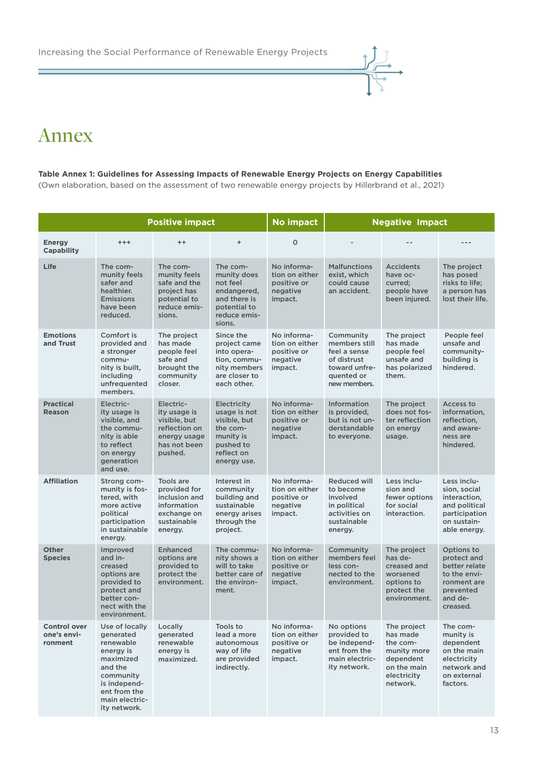

### Annex

#### **Table Annex 1: Guidelines for Assessing Impacts of Renewable Energy Projects on Energy Capabilities**

(Own elaboration, based on the assessment of two renewable energy projects by Hillerbrand et al., 2021)

|                                               | <b>Positive impact</b>                                                                                                                                       |                                                                                                       |                                                                                                                       | No impact                                                           | <b>Negative Impact</b>                                                                                   |                                                                                                           |                                                                                                               |  |
|-----------------------------------------------|--------------------------------------------------------------------------------------------------------------------------------------------------------------|-------------------------------------------------------------------------------------------------------|-----------------------------------------------------------------------------------------------------------------------|---------------------------------------------------------------------|----------------------------------------------------------------------------------------------------------|-----------------------------------------------------------------------------------------------------------|---------------------------------------------------------------------------------------------------------------|--|
| <b>Energy</b><br><b>Capability</b>            | $^{+ + +}$                                                                                                                                                   | $++$                                                                                                  | $\ddot{}$                                                                                                             | $\circ$                                                             |                                                                                                          |                                                                                                           |                                                                                                               |  |
| Life                                          | The com-<br>munity feels<br>safer and<br>healthier.<br><b>Emissions</b><br>have been<br>reduced.                                                             | The com-<br>munity feels<br>safe and the<br>project has<br>potential to<br>reduce emis-<br>sions.     | The com-<br>munity does<br>not feel<br>endangered,<br>and there is<br>potential to<br>reduce emis-<br>sions.          | No informa-<br>tion on either<br>positive or<br>negative<br>impact. | <b>Malfunctions</b><br>exist, which<br>could cause<br>an accident.                                       | <b>Accidents</b><br>have oc-<br>curred;<br>people have<br>been injured.                                   | The project<br>has posed<br>risks to life;<br>a person has<br>lost their life.                                |  |
| <b>Emotions</b><br>and Trust                  | Comfort is<br>provided and<br>a stronger<br>commu-<br>nity is built,<br>including<br>unfrequented<br>members.                                                | The project<br>has made<br>people feel<br>safe and<br>brought the<br>community<br>closer.             | Since the<br>project came<br>into opera-<br>tion, commu-<br>nity members<br>are closer to<br>each other.              | No informa-<br>tion on either<br>positive or<br>negative<br>impact. | Community<br>members still<br>feel a sense<br>of distrust<br>toward unfre-<br>quented or<br>new members. | The project<br>has made<br>people feel<br>unsafe and<br>has polarized<br>them.                            | People feel<br>unsafe and<br>community-<br>building is<br>hindered.                                           |  |
| <b>Practical</b><br><b>Reason</b>             | Electric-<br>ity usage is<br>visible, and<br>the commu-<br>nity is able<br>to reflect<br>on energy<br>generation<br>and use.                                 | Electric-<br>ity usage is<br>visible, but<br>reflection on<br>energy usage<br>has not been<br>pushed. | <b>Electricity</b><br>usage is not<br>visible, but<br>the com-<br>munity is<br>pushed to<br>reflect on<br>energy use. | No informa-<br>tion on either<br>positive or<br>negative<br>impact. | <b>Information</b><br>is provided,<br>but is not un-<br>derstandable<br>to everyone.                     | The project<br>does not fos-<br>ter reflection<br>on energy<br>usage.                                     | Access to<br>information,<br>reflection,<br>and aware-<br>ness are<br>hindered.                               |  |
| <b>Affiliation</b>                            | Strong com-<br>munity is fos-<br>tered, with<br>more active<br>political<br>participation<br>in sustainable<br>energy.                                       | Tools are<br>provided for<br>inclusion and<br>information<br>exchange on<br>sustainable<br>energy.    | Interest in<br>community<br>building and<br>sustainable<br>energy arises<br>through the<br>project.                   | No informa-<br>tion on either<br>positive or<br>negative<br>impact. | <b>Reduced will</b><br>to become<br>involved<br>in political<br>activities on<br>sustainable<br>energy.  | Less inclu-<br>sion and<br>fewer options<br>for social<br>interaction.                                    | Less inclu-<br>sion, social<br>interaction,<br>and political<br>participation<br>on sustain-<br>able energy.  |  |
| <b>Other</b><br><b>Species</b>                | Improved<br>and in-<br>creased<br>options are<br>provided to<br>protect and<br>better con-<br>nect with the<br>environment.                                  | <b>Enhanced</b><br>options are<br>provided to<br>protect the<br>environment.                          | The commu-<br>nity shows a<br>will to take<br>better care of<br>the environ-<br>ment.                                 | No informa-<br>tion on either<br>positive or<br>negative<br>impact. | Community<br>members feel<br>less con-<br>nected to the<br>environment.                                  | The project<br>has de-<br>creased and<br>worsened<br>options to<br>protect the<br>environment.            | Options to<br>protect and<br>better relate<br>to the envi-<br>ronment are<br>prevented<br>and de-<br>creased. |  |
| <b>Control over</b><br>one's envi-<br>ronment | Use of locally<br>generated<br>renewable<br>energy is<br>maximized<br>and the<br>community<br>is independ-<br>ent from the<br>main electric-<br>ity network. | Locally<br>generated<br>renewable<br>energy is<br>maximized.                                          | Tools to<br>lead a more<br>autonomous<br>way of life<br>are provided<br>indirectly.                                   | No informa-<br>tion on either<br>positive or<br>negative<br>impact. | No options<br>provided to<br>be independ-<br>ent from the<br>main electric-<br>ity network.              | The project<br>has made<br>the com-<br>munity more<br>dependent<br>on the main<br>electricity<br>network. | The com-<br>munity is<br>dependent<br>on the main<br>electricity<br>network and<br>on external<br>factors.    |  |